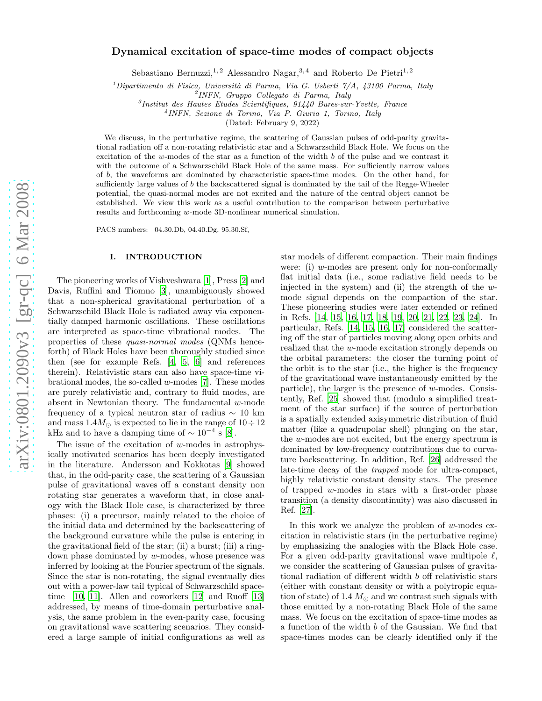# Dynamical excitation of space-time modes of compact object s

Sebastiano Bernuzzi,<sup>1,2</sup> Alessandro Nagar,<sup>3,4</sup> and Roberto De Pietri<sup>1,2</sup>

<sup>1</sup>Dipartimento di Fisica, Università di Parma, Via G. Usberti  $7/A$ , 43100 Parma, Italy

 $^{2}$ INFN, Gruppo Collegato di Parma, Italy

<sup>3</sup>Institut des Hautes Etudes Scientifiques, 91440 Bures-sur-Yvette, France  $\frac{4}{4}$  IMFN Sexione di Terrino, Via B, Ciencia 1, Terrino, Italy

INFN, Sezione di Torino, Via P. Giuria 1, Torino, Italy

(Dated: February 9, 2022)

We discuss, in the perturbative regime, the scattering of Gaussian pulses of odd-parity gravitational radiation off a non-rotating relativistic star and a Schwarzschild Black Hole. We focus on the excitation of the  $w$ -modes of the star as a function of the width  $b$  of the pulse and we contrast it with the outcome of a Schwarzschild Black Hole of the same mass. For sufficiently narrow values of b, the waveforms are dominated by characteristic space-time modes. On the other hand, for sufficiently large values of b the backscattered signal is dominated by the tail of the Regge-Wheeler potential, the quasi-normal modes are not excited and the nature of the central object cannot be established. We view this work as a useful contribution to the comparison between perturbative results and forthcoming w-mode 3D-nonlinear numerical simulation.

PACS numbers: 04.30.Db, 04.40.Dg, 95.30.Sf,

# I. INTRODUCTION

The pioneering works of Vishveshwara [\[1](#page-7-0)], Press [\[2](#page-7-1)] and Davis, Ruffini and Tiomno [\[3](#page-7-2)], unambiguously showed that a non-spherical gravitational perturbation of a Schwarzschild Black Hole is radiated away via exponentially damped harmonic oscillations. These oscillations are interpreted as space-time vibrational modes. The properties of these quasi-normal modes (QNMs henceforth) of Black Holes have been thoroughly studied since then (see for example Refs. [\[4,](#page-7-3) [5](#page-7-4), [6\]](#page-7-5) and references therein). Relativistic stars can also have space-time vibrational modes, the so-called w-modes [\[7\]](#page-7-6). These modes are purely relativistic and, contrary to fluid modes, are absent in Newtonian theory. The fundamental w-mode frequency of a typical neutron star of radius  $\sim 10 \text{ km}$ and mass  $1.4M_{\odot}$  is expected to lie in the range of  $10 \div 12$ kHz and to have a damping time of  $\sim 10^{-4}$  s [\[8\]](#page-7-7).

The issue of the excitation of w-modes in astrophysically motivated scenarios has been deeply investigated in the literature. Andersson and Kokkotas [\[9\]](#page-7-8) showed that, in the odd-parity case, the scattering of a Gaussian pulse of gravitational waves off a constant density non rotating star generates a waveform that, in close analogy with the Black Hole case, is characterized by three phases: (i) a precursor, mainly related to the choice of the initial data and determined by the backscattering of the background curvature while the pulse is entering in the gravitational field of the star; (ii) a burst; (iii) a ringdown phase dominated by w-modes, whose presence was inferred by looking at the Fourier spectrum of the signals. Since the star is non-rotating, the signal eventually dies out with a power-law tail typical of Schwarzschild spacetime  $[10, 11]$  $[10, 11]$  $[10, 11]$ . Allen and coworkers  $[12]$  and Ruoff  $[13]$ addressed, by means of time-domain perturbative analysis, the same problem in the even-parity case, focusing on gravitational wave scattering scenarios. They considered a large sample of initial configurations as well as

star models of different compaction. Their main findings were: (i) w-modes are present only for non-conformally flat initial data (i.e., some radiative field needs to be injected in the system) and (ii) the strength of the  $w$ mode signal depends on the compaction of the star. These pioneering studies were later extended or refined in Refs. [\[14](#page-7-13), [15](#page-7-14), [16,](#page-7-15) [17,](#page-7-16) [18,](#page-7-17) [19](#page-7-18), [20](#page-7-19), [21,](#page-7-20) [22,](#page-7-21) [23,](#page-7-22) [24](#page-8-0)]. In particular, Refs. [\[14,](#page-7-13) [15,](#page-7-14) [16,](#page-7-15) [17\]](#page-7-16) considered the scattering off the star of particles moving along open orbits and realized that the w-mode excitation strongly depends on the orbital parameters: the closer the turning point of the orbit is to the star (i.e., the higher is the frequency of the gravitational wave instantaneously emitted by the particle), the larger is the presence of w-modes. Consistently, Ref. [\[25\]](#page-8-1) showed that (modulo a simplified treatment of the star surface) if the source of perturbation is a spatially extended axisymmetric distribution of fluid matter (like a quadrupolar shell) plunging on the star, the w-modes are not excited, but the energy spectrum is dominated by low-frequency contributions due to curvature backscattering. In addition, Ref. [\[26\]](#page-8-2) addressed the late-time decay of the trapped mode for ultra-compact, highly relativistic constant density stars. The presence of trapped w-modes in stars with a first-order phase transition (a density discontinuity) was also discussed in Ref. [\[27\]](#page-8-3).

In this work we analyze the problem of w-modes excitation in relativistic stars (in the perturbative regime) by emphasizing the analogies with the Black Hole case. For a given odd-parity gravitational wave multipole  $\ell$ , we consider the scattering of Gaussian pulses of gravitational radiation of different width b off relativistic stars (either with constant density or with a polytropic equation of state) of 1.4  $M_{\odot}$  and we contrast such signals with those emitted by a non-rotating Black Hole of the same mass. We focus on the excitation of space-time modes as a function of the width b of the Gaussian. We find that space-times modes can be clearly identified only if the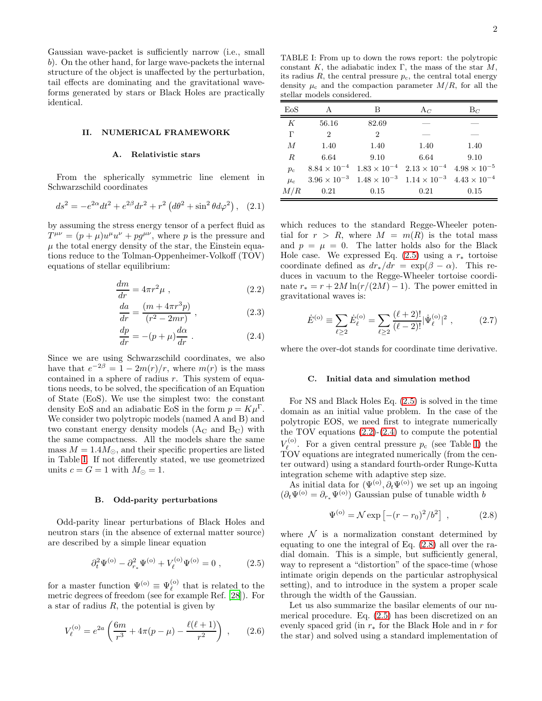Gaussian wave-packet is sufficiently narrow (i.e., small b). On the other hand, for large wave-packets the internal structure of the object is unaffected by the perturbation, tail effects are dominating and the gravitational waveforms generated by stars or Black Holes are practically identical.

### II. NUMERICAL FRAMEWORK

# A. Relativistic stars

From the spherically symmetric line element in Schwarzschild coordinates

$$
ds^{2} = -e^{2\alpha}dt^{2} + e^{2\beta}dr^{2} + r^{2} \left(d\theta^{2} + \sin^{2}\theta d\varphi^{2}\right), \quad (2.1)
$$

by assuming the stress energy tensor of a perfect fluid as  $T^{\mu\nu} = (p + \mu)u^{\mu}u^{\nu} + pg^{\mu\nu}$ , where p is the pressure and  $\mu$  the total energy density of the star, the Einstein equations reduce to the Tolman-Oppenheimer-Volkoff (TOV) equations of stellar equilibrium:

$$
\frac{dm}{dr} = 4\pi r^2 \mu , \qquad (2.2)
$$

$$
\frac{da}{dr} = \frac{(m + 4\pi r^3 p)}{(r^2 - 2mr)},
$$
\n(2.3)

$$
\frac{dp}{dr} = -(p+\mu)\frac{d\alpha}{dr} \ . \tag{2.4}
$$

Since we are using Schwarzschild coordinates, we also have that  $e^{-2\beta} = 1 - 2m(r)/r$ , where  $m(r)$  is the mass contained in a sphere of radius  $r$ . This system of equations needs, to be solved, the specification of an Equation of State (EoS). We use the simplest two: the constant density EoS and an adiabatic EoS in the form  $p = K \mu^{\Gamma}$ . We consider two polytropic models (named A and B) and two constant energy density models  $(A_C \text{ and } B_C)$  with the same compactness. All the models share the same mass  $M = 1.4 M_{\odot}$ , and their specific properties are listed in Table [I.](#page-1-0) If not differently stated, we use geometrized units  $c = G = 1$  with  $M_{\odot} = 1$ .

### B. Odd-parity perturbations

Odd-parity linear perturbations of Black Holes and neutron stars (in the absence of external matter source) are described by a simple linear equation

<span id="page-1-1"></span>
$$
\partial_t^2 \Psi^{(0)} - \partial_{r_*}^2 \Psi^{(0)} + V_{\ell}^{(0)} \Psi^{(0)} = 0 , \qquad (2.5)
$$

for a master function  $\Psi^{(o)} \equiv \Psi^{(o)}_{\ell}$  $\ell$ <sup>(o)</sup> that is related to the metric degrees of freedom (see for example Ref. [\[28\]](#page-8-4)). For a star of radius  $R$ , the potential is given by

$$
V_{\ell}^{(o)} = e^{2a} \left( \frac{6m}{r^3} + 4\pi (p - \mu) - \frac{\ell(\ell+1)}{r^2} \right) , \qquad (2.6)
$$

<span id="page-1-0"></span>TABLE I: From up to down the rows report: the polytropic constant K, the adiabatic index Γ, the mass of the star  $M$ , its radius  $R$ , the central pressure  $p_c$ , the central total energy density  $\mu_c$  and the compaction parameter  $M/R$ , for all the stellar models considered.

| EoS           | А                     | в                                                                                       | $A_C$                                       | $\mathrm{B}_C$        |  |
|---------------|-----------------------|-----------------------------------------------------------------------------------------|---------------------------------------------|-----------------------|--|
| K             | 56.16                 | 82.69                                                                                   |                                             |                       |  |
| Г             | $\overline{2}$        | $\overline{2}$                                                                          |                                             |                       |  |
| М             | 1.40                  | 1.40                                                                                    | 1.40                                        | 1.40                  |  |
| R             | 6.64                  | 9.10                                                                                    | 6.64                                        | 9.10                  |  |
| $p_c$         | $8.84 \times 10^{-4}$ |                                                                                         | $1.83 \times 10^{-4}$ $2.13 \times 10^{-4}$ | $4.98 \times 10^{-5}$ |  |
| $\mu_{\rm c}$ |                       | $3.96 \times 10^{-3}$ $1.48 \times 10^{-3}$ $1.14 \times 10^{-3}$ $4.43 \times 10^{-4}$ |                                             |                       |  |
| M/R           | 0.21                  | 0.15                                                                                    | 0.21                                        | 0.15                  |  |

which reduces to the standard Regge-Wheeler potential for  $r > R$ , where  $M = m(R)$  is the total mass and  $p = \mu = 0$ . The latter holds also for the Black Hole case. We expressed Eq.  $(2.5)$  using a  $r_*$  tortoise coordinate defined as  $dr_*/dr = \exp(\beta - \alpha)$ . This reduces in vacuum to the Regge-Wheeler tortoise coordinate  $r_* = r + 2M \ln(r/(2M) - 1)$ . The power emitted in gravitational waves is:

<span id="page-1-5"></span><span id="page-1-2"></span>
$$
\dot{E}^{(\text{o})} \equiv \sum_{\ell \ge 2} \dot{E}_{\ell}^{(\text{o})} = \sum_{\ell \ge 2} \frac{(\ell+2)!}{(\ell-2)!} |\dot{\Psi}_{\ell}^{(\text{o})}|^2 , \qquad (2.7)
$$

<span id="page-1-3"></span>where the over-dot stands for coordinate time derivative.

# C. Initial data and simulation method

For NS and Black Holes Eq. [\(2.5\)](#page-1-1) is solved in the time domain as an initial value problem. In the case of the polytropic EOS, we need first to integrate numerically the TOV equations  $(2.2)-(2.4)$  $(2.2)-(2.4)$  to compute the potential  $V^{(\text{o})}_{\ell}$  $p_{\ell}^{(0)}$ . For a given central pressure  $p_{\rm c}$  (see Table [I\)](#page-1-0) the TOV equations are integrated numerically (from the center outward) using a standard fourth-order Runge-Kutta integration scheme with adaptive step size.

As initial data for  $(\Psi^{(o)}, \partial_t \Psi^{(o)})$  we set up an ingoing  $(\partial_t \Psi^{(o)} = \partial_{r_*} \Psi^{(o)})$  Gaussian pulse of tunable width b

<span id="page-1-4"></span>
$$
\Psi^{(o)} = \mathcal{N} \exp\left[ -(r - r_0)^2 / b^2 \right] , \qquad (2.8)
$$

where  $\mathcal N$  is a normalization constant determined by equating to one the integral of Eq. [\(2.8\)](#page-1-4) all over the radial domain. This is a simple, but sufficiently general, way to represent a "distortion" of the space-time (whose intimate origin depends on the particular astrophysical setting), and to introduce in the system a proper scale through the width of the Gaussian.

Let us also summarize the basilar elements of our numerical procedure. Eq. [\(2.5\)](#page-1-1) has been discretized on an evenly spaced grid (in  $r_*$  for the Black Hole and in r for the star) and solved using a standard implementation of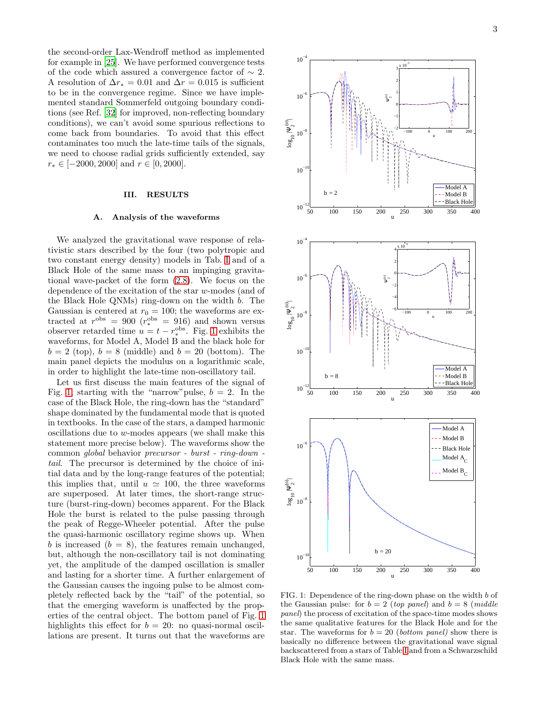the second-order Lax-Wendroff method as implemented for example in [\[25\]](#page-8-1). We have performed convergence tests of the code which assured a convergence factor of  $\sim 2$ . A resolution of  $\Delta r_* = 0.01$  and  $\Delta r = 0.015$  is sufficient to be in the convergence regime. Since we have implemented standard Sommerfeld outgoing boundary conditions (see Ref. [32] for improved, non-reflecting boundary conditions), we can't avoid some spurious reflections to come back from boundaries. To avoid that this effect contaminates too much the late-time tails of the signals, we need to choose radial grids sufficiently extended, say  $r_* \in [-2000, 2000]$  and  $r \in [0, 2000]$ .

# III. RESULTS

## A. Analysis of the waveforms

We analyzed the gravitational wave response of relativistic stars described by the four (two polytropic and two constant energy density) models in Tab. [I](#page-1-0) and of a Black Hole of the same mass to an impinging gravitational wave-packet of the form [\(2.8\)](#page-1-4). We focus on the dependence of the excitation of the star w-modes (and of the Black Hole QNMs) ring-down on the width b. The Gaussian is centered at  $r_0 = 100$ ; the waveforms are extracted at  $r^{\text{obs}} = 900 (r^{\text{obs}}_{*} = 916)$  and shown versus observer retarded time  $u = t - r_*^{\text{obs}}$ . Fig. [1](#page-2-0) exhibits the waveforms, for Model A, Model B and the black hole for  $b = 2$  (top),  $b = 8$  (middle) and  $b = 20$  (bottom). The main panel depicts the modulus on a logarithmic scale, in order to highlight the late-time non-oscillatory tail.

Let us first discuss the main features of the signal of Fig. [1,](#page-2-0) starting with the "narrow" pulse,  $b = 2$ . In the case of the Black Hole, the ring-down has the "standard" shape dominated by the fundamental mode that is quoted in textbooks. In the case of the stars, a damped harmonic oscillations due to w-modes appears (we shall make this statement more precise below). The waveforms show the common global behavior precursor - burst - ring-down tail. The precursor is determined by the choice of initial data and by the long-range features of the potential; this implies that, until  $u \approx 100$ , the three waveforms are superposed. At later times, the short-range structure (burst-ring-down) becomes apparent. For the Black Hole the burst is related to the pulse passing through the peak of Regge-Wheeler potential. After the pulse the quasi-harmonic oscillatory regime shows up. When b is increased  $(b = 8)$ , the features remain unchanged, but, although the non-oscillatory tail is not dominating yet, the amplitude of the damped oscillation is smaller and lasting for a shorter time. A further enlargement of the Gaussian causes the ingoing pulse to be almost completely reflected back by the "tail" of the potential, so that the emerging waveform is unaffected by the properties of the central object. The bottom panel of Fig. [1](#page-2-0) highlights this effect for  $b = 20$ : no quasi-normal oscillations are present. It turns out that the waveforms are



<span id="page-2-0"></span>FIG. 1: Dependence of the ring-down phase on the width b of the Gaussian pulse: for  $b = 2$  (top panel) and  $b = 8$  (middle panel) the process of excitation of the space-time modes shows the same qualitative features for the Black Hole and for the star. The waveforms for  $b = 20$  (*bottom panel*) show there is basically no difference between the gravitational wave signal backscattered from a stars of Table [I](#page-1-0) and from a Schwarzschild Black Hole with the same mass.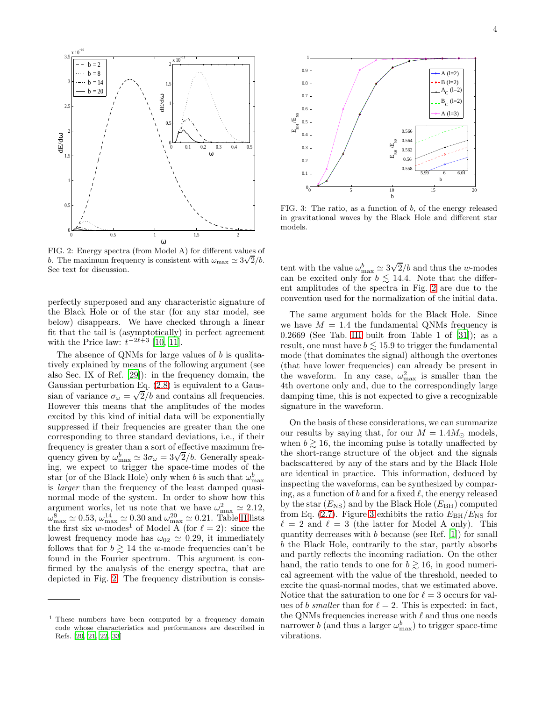

<span id="page-3-0"></span>FIG. 2: Energy spectra (from Model A) for different values of b. The maximum frequency is consistent with  $\omega_{\text{max}} \simeq 3\sqrt{2}/b$ . See text for discussion.

perfectly superposed and any characteristic signature of the Black Hole or of the star (for any star model, see below) disappears. We have checked through a linear fit that the tail is (asymptotically) in perfect agreement with the Price law:  $t^{-2\ell+3}$  [\[10](#page-7-9), [11](#page-7-10)].

The absence of QNMs for large values of  $b$  is qualitatively explained by means of the following argument (see also Sec. IX of Ref. [\[29](#page-8-5)]): in the frequency domain, the Gaussian perturbation Eq. [\(2.8\)](#page-1-4) is equivalent to a Gaussian of variance  $\sigma_{\omega} = \sqrt{2}/b$  and contains all frequencies. However this means that the amplitudes of the modes excited by this kind of initial data will be exponentially suppressed if their frequencies are greater than the one corresponding to three standard deviations, i.e., if their frequency is greater than a sort of effective maximum frequency given by  $\omega_{\text{max}}^b \simeq 3\sigma_\omega = 3\sqrt{2}/b$ . Generally speaking, we expect to trigger the space-time modes of the star (or of the Black Hole) only when b is such that  $\omega^b_{\text{max}}$ is larger than the frequency of the least damped quasinormal mode of the system. In order to show how this argument works, let us note that we have  $\omega_{\text{max}}^2 \simeq 2.12$ ,  $\omega_{\text{max}}^8 \simeq 0.53, \omega_{\text{max}}^{14} \simeq 0.30$  and  $\omega_{\text{max}}^{20} \simeq 0.21$ . Table [II](#page-4-0) lists the first six w-modes<sup>1</sup> of Model A (for  $\ell = 2$ ): since the lowest frequency mode has  $\omega_{02} \simeq 0.29$ , it immediately follows that for  $b \ge 14$  the w-mode frequencies can't be found in the Fourier spectrum. This argument is confirmed by the analysis of the energy spectra, that are depicted in Fig. [2.](#page-3-0) The frequency distribution is consis-



<span id="page-3-1"></span>FIG. 3: The ratio, as a function of  $b$ , of the energy released in gravitational waves by the Black Hole and different star models.

tent with the value  $\omega_{\text{max}}^b \simeq 3\sqrt{2}/b$  and thus the w-modes can be excited only for  $b \lesssim 14.4$ . Note that the different amplitudes of the spectra in Fig. [2](#page-3-0) are due to the convention used for the normalization of the initial data.

The same argument holds for the Black Hole. Since we have  $M = 1.4$  the fundamental QNMs frequency is  $0.2669$  (See Tab. [III](#page-4-1) built from Table 1 of [\[31](#page-8-7)]); as a result, one must have  $b \lesssim 15.9$  to trigger the fundamental mode (that dominates the signal) although the overtones (that have lower frequencies) can already be present in the waveform. In any case,  $\omega_{\text{max}}^2$  is smaller than the 4th overtone only and, due to the correspondingly large damping time, this is not expected to give a recognizable signature in the waveform.

On the basis of these considerations, we can summarize our results by saying that, for our  $M = 1.4 M_{\odot}$  models, when  $b \ge 16$ , the incoming pulse is totally unaffected by the short-range structure of the object and the signals backscattered by any of the stars and by the Black Hole are identical in practice. This information, deduced by inspecting the waveforms, can be synthesized by comparing, as a function of b and for a fixed  $\ell$ , the energy released by the star  $(E_{\text{NS}})$  and by the Black Hole  $(E_{\text{BH}})$  computed from Eq. [\(2.7\)](#page-1-5). Figure [3](#page-3-1) exhibits the ratio  $E_{\rm BH}/E_{\rm NS}$  for  $\ell = 2$  and  $\ell = 3$  (the latter for Model A only). This quantity decreases with b because (see Ref. [\[1\]](#page-7-0)) for small b the Black Hole, contrarily to the star, partly absorbs and partly reflects the incoming radiation. On the other hand, the ratio tends to one for  $b \gtrsim 16$ , in good numerical agreement with the value of the threshold, needed to excite the quasi-normal modes, that we estimated above. Notice that the saturation to one for  $\ell = 3$  occurs for values of *b* smaller than for  $\ell = 2$ . This is expected: in fact, the QNMs frequencies increase with  $\ell$  and thus one needs narrower b (and thus a larger  $\omega_{\text{max}}^b$ ) to trigger space-time vibrations.

<sup>&</sup>lt;sup>1</sup> These numbers have been computed by a frequency domain code whose characteristics and performances are described in Refs. [\[20](#page-7-19), [21,](#page-7-20) [22,](#page-7-21) [33](#page-8-6)]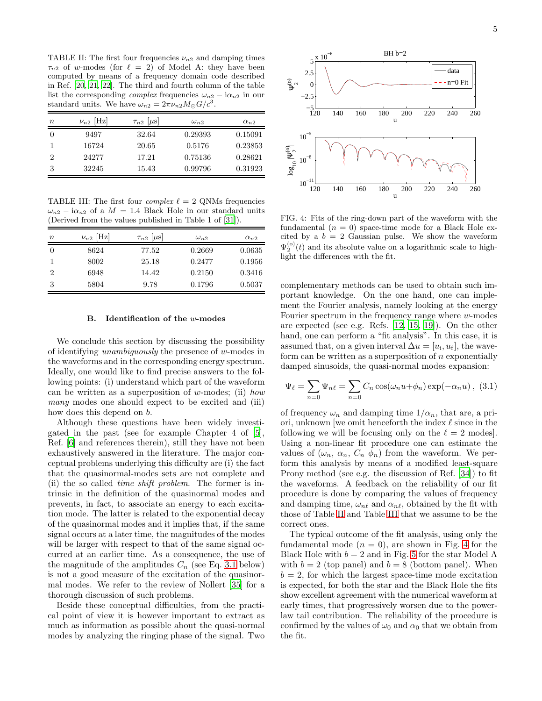<span id="page-4-0"></span>TABLE II: The first four frequencies  $\nu_{n2}$  and damping times  $\tau_{n2}$  of w-modes (for  $\ell = 2$ ) of Model A: they have been computed by means of a frequency domain code described in Ref. [\[20](#page-7-19), [21](#page-7-20), [22\]](#page-7-21). The third and fourth column of the table list the corresponding *complex* frequencies  $\omega_{n2} - i\alpha_{n2}$  in our standard units. We have  $\omega_{n2} = 2\pi\nu_{n2}M_{\odot}G/c^3$ .

| $\it n$        | Hz <br>$\nu_{n2}$ | $\tau_{n2}$   $\mu$ s | $\omega_{n2}$ | $\alpha_{n2}$ |
|----------------|-------------------|-----------------------|---------------|---------------|
|                | 9497              | 32.64                 | 0.29393       | 0.15091       |
|                | 16724             | 20.65                 | 0.5176        | 0.23853       |
| $\overline{2}$ | 24277             | 17.21                 | 0.75136       | 0.28621       |
| 3              | 32245             | 15.43                 | 0.99796       | 0.31923       |

<span id="page-4-1"></span>TABLE III: The first four *complex*  $\ell = 2$  QNMs frequencies  $\omega_{n2} - i\alpha_{n2}$  of a  $M = 1.4$  Black Hole in our standard units (Derived from the values published in Table 1 of [\[31](#page-8-7)]).

| $\, n$         | $\nu_{n2}$ [Hz] | $\tau_{n2}$   $\mu$ s | $\omega_{n2}$ | $\alpha_{n2}$ |
|----------------|-----------------|-----------------------|---------------|---------------|
| $\theta$       | 8624            | 77.52                 | 0.2669        | 0.0635        |
|                | 8002            | 25.18                 | 0.2477        | 0.1956        |
| $\overline{2}$ | 6948            | 14.42                 | 0.2150        | 0.3416        |
| 3              | 5804            | 9.78                  | 0.1796        | 0.5037        |

### B. Identification of the w-modes

We conclude this section by discussing the possibility of identifying unambiguously the presence of w-modes in the waveforms and in the corresponding energy spectrum. Ideally, one would like to find precise answers to the following points: (i) understand which part of the waveform can be written as a superposition of w-modes; (ii)  $how$ many modes one should expect to be excited and (iii) how does this depend on b.

Although these questions have been widely investigated in the past (see for example Chapter 4 of [\[5\]](#page-7-4), Ref. [\[6\]](#page-7-5) and references therein), still they have not been exhaustively answered in the literature. The major conceptual problems underlying this difficulty are (i) the fact that the quasinormal-modes sets are not complete and (ii) the so called time shift problem. The former is intrinsic in the definition of the quasinormal modes and prevents, in fact, to associate an energy to each excitation mode. The latter is related to the exponential decay of the quasinormal modes and it implies that, if the same signal occurs at a later time, the magnitudes of the modes will be larger with respect to that of the same signal occurred at an earlier time. As a consequence, the use of the magnitude of the amplitudes  $C_n$  (see Eq. [3.1](#page-4-2) below) is not a good measure of the excitation of the quasinormal modes. We refer to the review of Nollert [\[35\]](#page-8-8) for a thorough discussion of such problems.

Beside these conceptual difficulties, from the practical point of view it is however important to extract as much as information as possible about the quasi-normal modes by analyzing the ringing phase of the signal. Two



<span id="page-4-3"></span>FIG. 4: Fits of the ring-down part of the waveform with the fundamental  $(n = 0)$  space-time mode for a Black Hole excited by a  $b = 2$  Gaussian pulse. We show the waveform  $\Psi_2^{(0)}(t)$  and its absolute value on a logarithmic scale to highlight the differences with the fit.

complementary methods can be used to obtain such important knowledge. On the one hand, one can implement the Fourier analysis, namely looking at the energy Fourier spectrum in the frequency range where  $w$ -modes are expected (see e.g. Refs. [\[12,](#page-7-11) [15,](#page-7-14) [19](#page-7-18)]). On the other hand, one can perform a "fit analysis". In this case, it is assumed that, on a given interval  $\Delta u = [u_i, u_f]$ , the waveform can be written as a superposition of  $n$  exponentially damped sinusoids, the quasi-normal modes expansion:

<span id="page-4-2"></span>
$$
\Psi_{\ell} = \sum_{n=0} \Psi_{n\ell} = \sum_{n=0} C_n \cos(\omega_n u + \phi_n) \exp(-\alpha_n u),
$$
 (3.1)

of frequency  $\omega_n$  and damping time  $1/\alpha_n$ , that are, a priori, unknown [we omit henceforth the index  $\ell$  since in the following we will be focusing only on the  $\ell = 2$  modes. Using a non-linear fit procedure one can estimate the values of  $(\omega_n, \alpha_n, C_n \phi_n)$  from the waveform. We perform this analysis by means of a modified least-square Prony method (see e.g. the discussion of Ref. [\[34\]](#page-8-9)) to fit the waveforms. A feedback on the reliability of our fit procedure is done by comparing the values of frequency and damping time,  $\omega_{n\ell}$  and  $\alpha_{n\ell}$ , obtained by the fit with those of Table [II](#page-4-0) and Table [III](#page-4-1) that we assume to be the correct ones.

The typical outcome of the fit analysis, using only the fundamental mode  $(n = 0)$ , are shown in Fig. [4](#page-4-3) for the Black Hole with  $b = 2$  and in Fig. [5](#page-5-0) for the star Model A with  $b = 2$  (top panel) and  $b = 8$  (bottom panel). When  $b = 2$ , for which the largest space-time mode excitation is expected, for both the star and the Black Hole the fits show excellent agreement with the numerical waveform at early times, that progressively worsen due to the powerlaw tail contribution. The reliability of the procedure is confirmed by the values of  $\omega_0$  and  $\alpha_0$  that we obtain from the fit.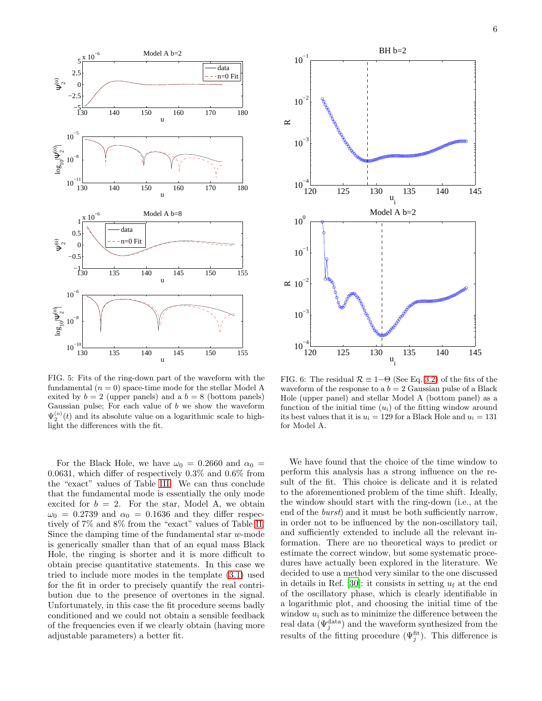

<span id="page-5-0"></span>FIG. 5: Fits of the ring-down part of the waveform with the fundamental  $(n = 0)$  space-time mode for the stellar Model A exited by  $b = 2$  (upper panels) and a  $b = 8$  (bottom panels) Gaussian pulse; For each value of b we show the waveform  $\Psi_2^{(0)}(t)$  and its absolute value on a logarithmic scale to highlight the differences with the fit.

For the Black Hole, we have  $\omega_0 = 0.2660$  and  $\alpha_0 =$ 0.0631, which differ of respectively 0.3% and 0.6% from the "exact" values of Table [III.](#page-4-1) We can thus conclude that the fundamental mode is essentially the only mode excited for  $b = 2$ . For the star, Model A, we obtain  $\omega_0 = 0.2739$  and  $\alpha_0 = 0.1636$  and they differ respectively of 7% and 8% from the "exact" values of Table [II.](#page-4-0) Since the damping time of the fundamental star w-mode is generically smaller than that of an equal mass Black Hole, the ringing is shorter and it is more difficult to obtain precise quantitative statements. In this case we tried to include more modes in the template [\(3.1\)](#page-4-2) used for the fit in order to precisely quantify the real contribution due to the presence of overtones in the signal. Unfortunately, in this case the fit procedure seems badly conditioned and we could not obtain a sensible feedback of the frequencies even if we clearly obtain (having more adjustable parameters) a better fit.



<span id="page-5-1"></span>FIG. 6: The residual  $\mathcal{R} \equiv 1-\Theta$  (See Eq. [3.2\)](#page-6-0) of the fits of the waveform of the response to a  $b = 2$  Gaussian pulse of a Black Hole (upper panel) and stellar Model A (bottom panel) as a function of the initial time  $(u_i)$  of the fitting window around its best values that it is  $u_i = 129$  for a Black Hole and  $u_i = 131$ for Model A.

We have found that the choice of the time window to perform this analysis has a strong influence on the result of the fit. This choice is delicate and it is related to the aforementioned problem of the time shift. Ideally, the window should start with the ring-down (i.e., at the end of the burst) and it must be both sufficiently narrow, in order not to be influenced by the non-oscillatory tail, and sufficiently extended to include all the relevant information. There are no theoretical ways to predict or estimate the correct window, but some systematic procedures have actually been explored in the literature. We decided to use a method very similar to the one discussed in details in Ref. [\[30\]](#page-8-10): it consists in setting  $u_f$  at the end of the oscillatory phase, which is clearly identifiable in a logarithmic plot, and choosing the initial time of the window  $u_i$  such as to minimize the difference between the real data  $(\Psi_j^{\text{data}})$  and the waveform synthesized from the results of the fitting procedure  $(\Psi_j^{\text{fit}})$ . This difference is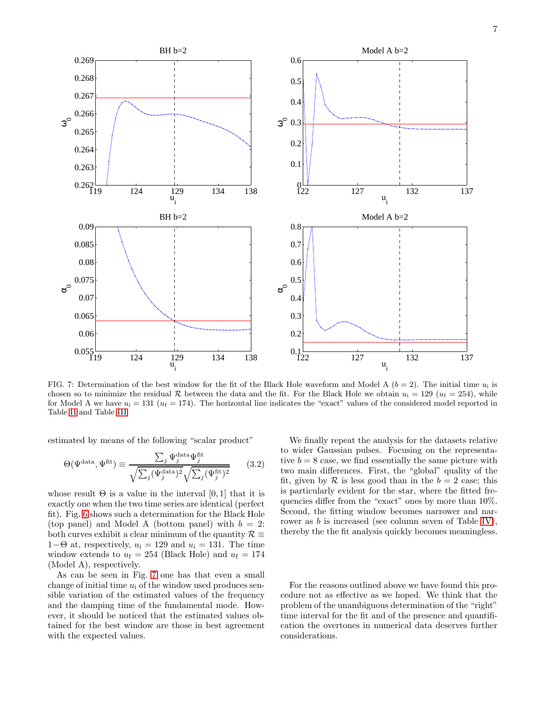

<span id="page-6-1"></span>FIG. 7: Determination of the best window for the fit of the Black Hole waveform and Model A ( $b = 2$ ). The initial time  $u_i$  is chosen so to minimize the residual R between the data and the fit. For the Black Hole we obtain  $u_i = 129$  ( $u_f = 254$ ), while for Model A we have  $u_i = 131$  ( $u_f = 174$ ). The horizontal line indicates the "exact" values of the considered model reported in Table [II](#page-4-0) and Table [III.](#page-4-1)

estimated by means of the following "scalar product"

<span id="page-6-0"></span>
$$
\Theta(\Psi^{\text{data}}, \Psi^{\text{fit}}) \equiv \frac{\sum_{j} \Psi_{j}^{\text{data}} \Psi_{j}^{\text{fit}}}{\sqrt{\sum_{j} (\Psi_{j}^{\text{data}})^{2}} \sqrt{\sum_{j} (\Psi_{j}^{\text{fit}})^{2}}}
$$
(3.2)

whose result  $\Theta$  is a value in the interval [0, 1] that it is exactly one when the two time series are identical (perfect fit). Fig. [6](#page-5-1) shows such a determination for the Black Hole (top panel) and Model A (bottom panel) with  $b = 2$ : both curves exhibit a clear minimum of the quantity  $\mathcal{R} \equiv$  $1-\Theta$  at, respectively,  $u_i = 129$  and  $u_i = 131$ . The time window extends to  $u_f = 254$  (Black Hole) and  $u_f = 174$ (Model A), respectively.

As can be seen in Fig. [7](#page-6-1) one has that even a small change of initial time  $u_i$  of the window used produces sensible variation of the estimated values of the frequency and the damping time of the fundamental mode. However, it should be noticed that the estimated values obtained for the best window are those in best agreement with the expected values.

We finally repeat the analysis for the datasets relative to wider Gaussian pulses. Focusing on the representative  $b = 8$  case, we find essentially the same picture with two main differences. First, the "global" quality of the fit, given by  $\mathcal R$  is less good than in the  $b = 2$  case; this is particularly evident for the star, where the fitted frequencies differ from the "exact" ones by more than 10%. Second, the fitting window becomes narrower and narrower as b is increased (see column seven of Table [IV\)](#page-7-23), thereby the the fit analysis quickly becomes meaningless.

For the reasons outlined above we have found this procedure not as effective as we hoped. We think that the problem of the unambiguous determination of the "right" time interval for the fit and of the presence and quantification the overtones in numerical data deserves further considerations.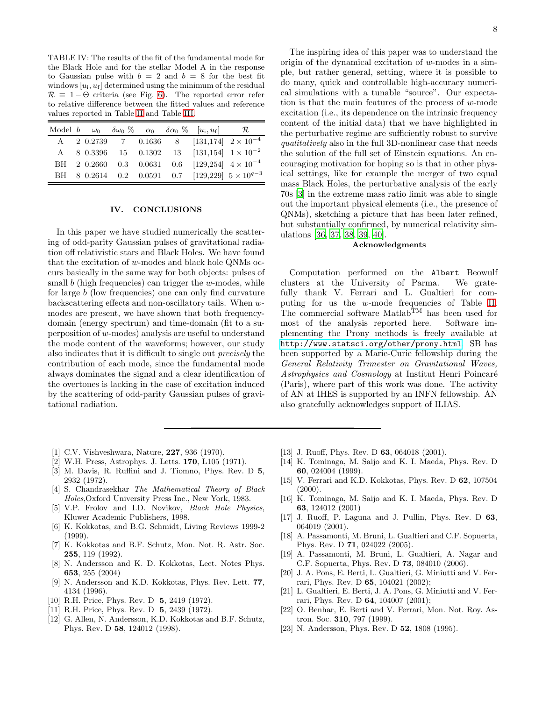<span id="page-7-23"></span>TABLE IV: The results of the fit of the fundamental mode for the Black Hole and for the stellar Model A in the response to Gaussian pulse with  $b = 2$  and  $b = 8$  for the best fit windows  $[u_i, u_f]$  determined using the minimum of the residual  $\mathcal{R} \equiv 1-\Theta$  criteria (see Fig. [6\)](#page-5-1). The reported error refer to relative difference between the fitted values and reference values reported in Table [II](#page-4-0) and Table [III.](#page-4-1)

|  |  |  | Model b $\omega_0$ $\delta \omega_0 \%$ $\alpha_0$ $\delta \alpha_0 \%$ $[u_i, u_f]$ $\mathcal{R}$ |                                                          |
|--|--|--|----------------------------------------------------------------------------------------------------|----------------------------------------------------------|
|  |  |  |                                                                                                    | A 2 0.2739 7 0.1636 8 [131,174] $2 \times 10^{-4}$       |
|  |  |  |                                                                                                    | A 8 0.3396 15 0.1302 13 [131,154] $1 \times 10^{-2}$     |
|  |  |  |                                                                                                    | BH 2 0.2660 0.3 0.0631 0.6 [129,254] $4 \times 10^{-4}$  |
|  |  |  |                                                                                                    | BH 8 0.2614 0.2 0.0591 0.7 [129,229] $5 \times 10^{q-3}$ |

## IV. CONCLUSIONS

In this paper we have studied numerically the scattering of odd-parity Gaussian pulses of gravitational radiation off relativistic stars and Black Holes. We have found that the excitation of w-modes and black hole QNMs occurs basically in the same way for both objects: pulses of small  $b$  (high frequencies) can trigger the w-modes, while for large b (low frequencies) one can only find curvature backscattering effects and non-oscillatory tails. When wmodes are present, we have shown that both frequencydomain (energy spectrum) and time-domain (fit to a superposition of w-modes) analysis are useful to understand the mode content of the waveforms; however, our study also indicates that it is difficult to single out precisely the contribution of each mode, since the fundamental mode always dominates the signal and a clear identification of the overtones is lacking in the case of excitation induced by the scattering of odd-parity Gaussian pulses of gravitational radiation.

The inspiring idea of this paper was to understand the origin of the dynamical excitation of  $w$ -modes in a simple, but rather general, setting, where it is possible to do many, quick and controllable high-accuracy numerical simulations with a tunable "source". Our expectation is that the main features of the process of w-mode excitation (i.e., its dependence on the intrinsic frequency content of the initial data) that we have highlighted in the perturbative regime are sufficiently robust to survive qualitatively also in the full 3D-nonlinear case that needs the solution of the full set of Einstein equations. An encouraging motivation for hoping so is that in other physical settings, like for example the merger of two equal mass Black Holes, the perturbative analysis of the early 70s [\[3\]](#page-7-2) in the extreme mass ratio limit was able to single out the important physical elements (i.e., the presence of QNMs), sketching a picture that has been later refined, but substantially confirmed, by numerical relativity simulations [\[36,](#page-8-11) [37,](#page-8-12) [38,](#page-8-13) [39,](#page-8-14) [40\]](#page-8-15).

### Acknowledgments

Computation performed on the Albert Beowulf clusters at the University of Parma. We gratefully thank V. Ferrari and L. Gualtieri for computing for us the w-mode frequencies of Table [II.](#page-4-0) The commercial software Matlab<sup>TM</sup> has been used for most of the analysis reported here. Software implementing the Prony methods is freely available at <http://www.statsci.org/other/prony.html>. SB has been supported by a Marie-Curie fellowship during the General Relativity Trimester on Gravitational Waves, Astrophysics and Cosmology at Institut Henri Poincaré (Paris), where part of this work was done. The activity of AN at IHES is supported by an INFN fellowship. AN also gratefully acknowledges support of ILIAS.

- <span id="page-7-0"></span>[1] C.V. Vishveshwara, Nature, 227, 936 (1970).
- <span id="page-7-1"></span>[2] W.H. Press, Astrophys. J. Letts. 170, L105 (1971).
- <span id="page-7-2"></span>[3] M. Davis, R. Ruffini and J. Tiomno, Phys. Rev. D 5, 2932 (1972).
- <span id="page-7-3"></span>[4] S. Chandrasekhar The Mathematical Theory of Black Holes,Oxford University Press Inc., New York, 1983.
- <span id="page-7-4"></span>[5] V.P. Frolov and I.D. Novikov, Black Hole Physics, Kluwer Academic Publishers, 1998.
- <span id="page-7-5"></span>[6] K. Kokkotas, and B.G. Schmidt, Living Reviews 1999-2 (1999).
- <span id="page-7-6"></span>[7] K. Kokkotas and B.F. Schutz, Mon. Not. R. Astr. Soc. 255, 119 (1992).
- <span id="page-7-7"></span>[8] N. Andersson and K. D. Kokkotas, Lect. Notes Phys. 653, 255 (2004)
- <span id="page-7-8"></span>[9] N. Andersson and K.D. Kokkotas, Phys. Rev. Lett. 77, 4134 (1996).
- <span id="page-7-9"></span>[10] R.H. Price, Phys. Rev. D 5, 2419 (1972).
- <span id="page-7-10"></span>[11] R.H. Price, Phys. Rev. D 5, 2439 (1972).
- <span id="page-7-11"></span>[12] G. Allen, N. Andersson, K.D. Kokkotas and B.F. Schutz, Phys. Rev. D 58, 124012 (1998).
- <span id="page-7-12"></span>[13] J. Ruoff, Phys. Rev. D **63**, 064018 (2001).
- <span id="page-7-13"></span>[14] K. Tominaga, M. Saijo and K. I. Maeda, Phys. Rev. D 60, 024004 (1999).
- <span id="page-7-14"></span>[15] V. Ferrari and K.D. Kokkotas, Phys. Rev. D 62, 107504 (2000).
- <span id="page-7-15"></span>[16] K. Tominaga, M. Saijo and K. I. Maeda, Phys. Rev. D 63, 124012 (2001)
- <span id="page-7-16"></span>[17] J. Ruoff, P. Laguna and J. Pullin, Phys. Rev. D 63, 064019 (2001).
- <span id="page-7-17"></span>[18] A. Passamonti, M. Bruni, L. Gualtieri and C.F. Sopuerta, Phys. Rev. D 71, 024022 (2005).
- <span id="page-7-18"></span>[19] A. Passamonti, M. Bruni, L. Gualtieri, A. Nagar and C.F. Sopuerta, Phys. Rev. D 73, 084010 (2006).
- <span id="page-7-19"></span>[20] J. A. Pons, E. Berti, L. Gualtieri, G. Miniutti and V. Ferrari, Phys. Rev. D 65, 104021 (2002);
- <span id="page-7-20"></span>[21] L. Gualtieri, E. Berti, J. A. Pons, G. Miniutti and V. Ferrari, Phys. Rev. D 64, 104007 (2001);
- <span id="page-7-21"></span>[22] O. Benhar, E. Berti and V. Ferrari, Mon. Not. Roy. Astron. Soc. 310, 797 (1999).
- <span id="page-7-22"></span>[23] N. Andersson, Phys. Rev. D 52, 1808 (1995).